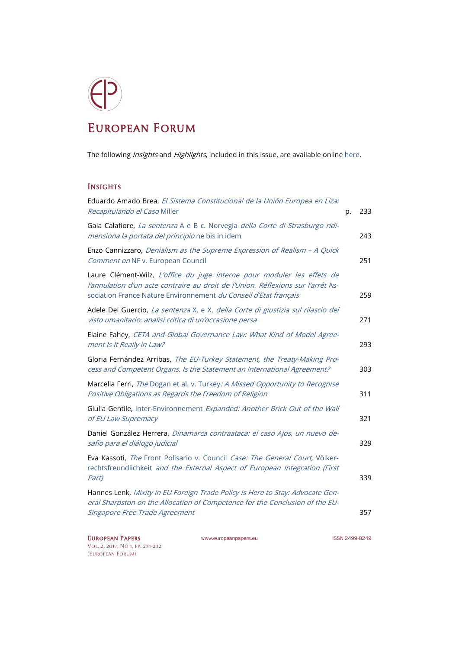## European Forum

The following *Insights* and *Highlights*, included in this issue, are available onlin[e here.](http://www.europeanpapers.eu/en/e-journal/EP_eJ_2017_1_European_Forum)

## **INSIGHTS**

| Eduardo Amado Brea, El Sistema Constitucional de la Unión Europea en Liza:<br>Recapitulando el Caso Miller                                                                                                                      | p. | 233 |
|---------------------------------------------------------------------------------------------------------------------------------------------------------------------------------------------------------------------------------|----|-----|
| Gaia Calafiore, La sentenza A e B c. Norvegia della Corte di Strasburgo ridi-<br>mensiona la portata del principio ne bis in idem                                                                                               |    | 243 |
| Enzo Cannizzaro, Denialism as the Supreme Expression of Realism - A Quick<br>Comment on NF v. European Council                                                                                                                  |    | 251 |
| Laure Clément-Wilz, L'office du juge interne pour moduler les effets de<br>l'annulation d'un acte contraire au droit de l'Union. Réflexions sur l'arrêt As-<br>sociation France Nature Environnement du Conseil d'Etat français |    | 259 |
| Adele Del Guercio, La sentenza X. e X. della Corte di giustizia sul rilascio del<br>visto umanitario: analisi critica di un'occasione persa                                                                                     |    | 271 |
| Elaine Fahey, CETA and Global Governance Law: What Kind of Model Agree-<br>ment Is It Really in Law?                                                                                                                            |    | 293 |
| Gloria Fernández Arribas, The EU-Turkey Statement, the Treaty-Making Pro-<br>cess and Competent Organs. Is the Statement an International Agreement?                                                                            |    | 303 |
| Marcella Ferri, The Dogan et al. v. Turkey: A Missed Opportunity to Recognise<br>Positive Obligations as Regards the Freedom of Religion                                                                                        |    | 311 |
| Giulia Gentile, Inter-Environnement Expanded: Another Brick Out of the Wall<br>of EU Law Supremacy                                                                                                                              |    | 321 |
| Daniel González Herrera, Dinamarca contraataca: el caso Ajos, un nuevo de-<br>safío para el diálogo judicial                                                                                                                    |    | 329 |
| Eva Kassoti, The Front Polisario v. Council Case: The General Court, Völker-<br>rechtsfreundlichkeit and the External Aspect of European Integration (First<br>Part)                                                            |    | 339 |
| Hannes Lenk, Mixity in EU Foreign Trade Policy Is Here to Stay: Advocate Gen-<br>eral Sharpston on the Allocation of Competence for the Conclusion of the EU-<br>Singapore Free Trade Agreement                                 |    | 357 |